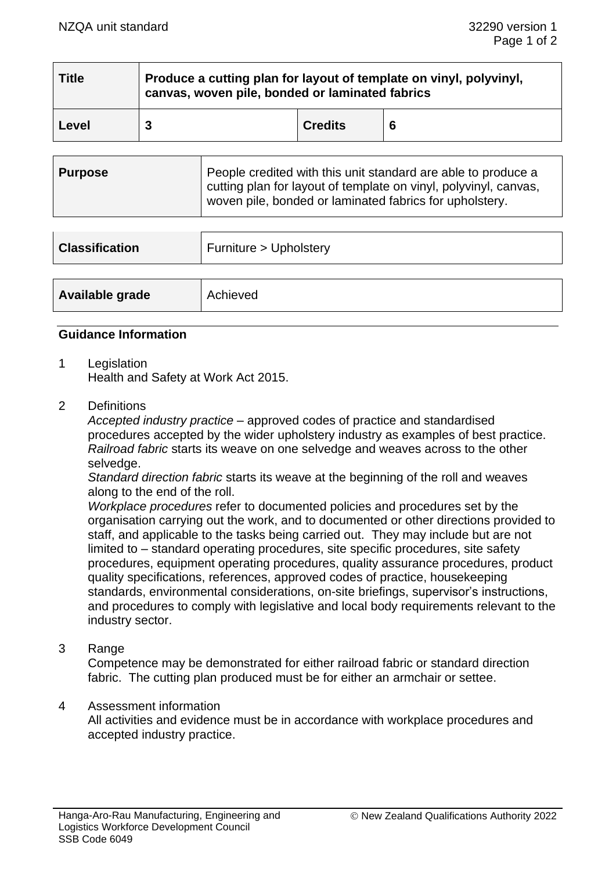| <b>Title</b> | Produce a cutting plan for layout of template on vinyl, polyvinyl,<br>canvas, woven pile, bonded or laminated fabrics |                |   |
|--------------|-----------------------------------------------------------------------------------------------------------------------|----------------|---|
| Level        |                                                                                                                       | <b>Credits</b> | 6 |

| <b>Purpose</b> | People credited with this unit standard are able to produce a<br>cutting plan for layout of template on vinyl, polyvinyl, canvas,<br>woven pile, bonded or laminated fabrics for upholstery. |
|----------------|----------------------------------------------------------------------------------------------------------------------------------------------------------------------------------------------|
|                |                                                                                                                                                                                              |

| <b>Classification</b> | Furniture > Upholstery |
|-----------------------|------------------------|
|                       |                        |
| Available grade       | Achieved               |

### **Guidance Information**

1 Legislation

Health and Safety at Work Act 2015.

2 Definitions

*Accepted industry practice* – approved codes of practice and standardised procedures accepted by the wider upholstery industry as examples of best practice. *Railroad fabric* starts its weave on one selvedge and weaves across to the other selvedge.

*Standard direction fabric* starts its weave at the beginning of the roll and weaves along to the end of the roll.

*Workplace procedures* refer to documented policies and procedures set by the organisation carrying out the work, and to documented or other directions provided to staff, and applicable to the tasks being carried out. They may include but are not limited to – standard operating procedures, site specific procedures, site safety procedures, equipment operating procedures, quality assurance procedures, product quality specifications, references, approved codes of practice, housekeeping standards, environmental considerations, on-site briefings, supervisor's instructions, and procedures to comply with legislative and local body requirements relevant to the industry sector.

3 Range

Competence may be demonstrated for either railroad fabric or standard direction fabric. The cutting plan produced must be for either an armchair or settee.

#### 4 Assessment information

All activities and evidence must be in accordance with workplace procedures and accepted industry practice.